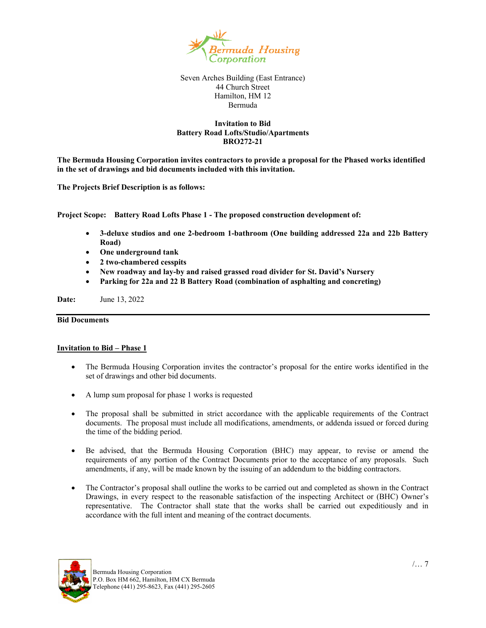

Seven Arches Building (East Entrance) 44 Church Street Hamilton, HM 12 Bermuda

## **Invitation to Bid Battery Road Lofts/Studio/Apartments BRO272-21**

**The Bermuda Housing Corporation invites contractors to provide a proposal for the Phased works identified in the set of drawings and bid documents included with this invitation.** 

**The Projects Brief Description is as follows:** 

**Project Scope: Battery Road Lofts Phase 1 - The proposed construction development of:** 

- **3-deluxe studios and one 2-bedroom 1-bathroom (One building addressed 22a and 22b Battery Road)**
- **One underground tank**
- **2 two-chambered cesspits**
- **New roadway and lay-by and raised grassed road divider for St. David's Nursery**
- **Parking for 22a and 22 B Battery Road (combination of asphalting and concreting)**

**Date:** June 13, 2022

# **Bid Documents**

## **Invitation to Bid – Phase 1**

- The Bermuda Housing Corporation invites the contractor's proposal for the entire works identified in the set of drawings and other bid documents.
- A lump sum proposal for phase 1 works is requested
- The proposal shall be submitted in strict accordance with the applicable requirements of the Contract documents. The proposal must include all modifications, amendments, or addenda issued or forced during the time of the bidding period.
- Be advised, that the Bermuda Housing Corporation (BHC) may appear, to revise or amend the requirements of any portion of the Contract Documents prior to the acceptance of any proposals. Such amendments, if any, will be made known by the issuing of an addendum to the bidding contractors.
- The Contractor's proposal shall outline the works to be carried out and completed as shown in the Contract Drawings, in every respect to the reasonable satisfaction of the inspecting Architect or (BHC) Owner's representative. The Contractor shall state that the works shall be carried out expeditiously and in accordance with the full intent and meaning of the contract documents.

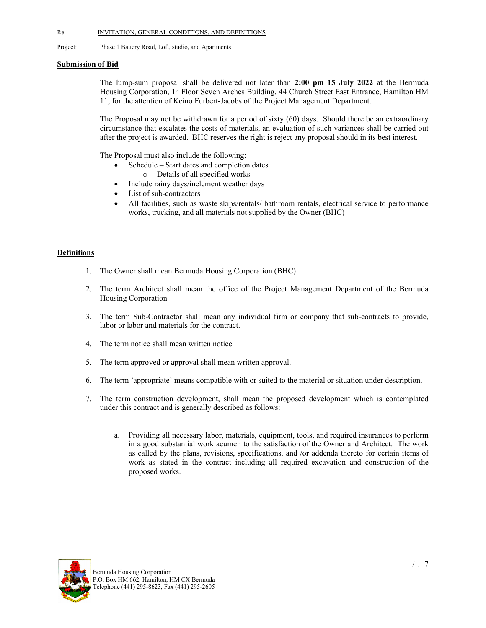Project: Phase 1 Battery Road, Loft, studio, and Apartments

### **Submission of Bid**

The lump-sum proposal shall be delivered not later than **2:00 pm 15 July 2022** at the Bermuda Housing Corporation, 1st Floor Seven Arches Building, 44 Church Street East Entrance, Hamilton HM 11, for the attention of Keino Furbert-Jacobs of the Project Management Department.

The Proposal may not be withdrawn for a period of sixty (60) days. Should there be an extraordinary circumstance that escalates the costs of materials, an evaluation of such variances shall be carried out after the project is awarded. BHC reserves the right is reject any proposal should in its best interest.

The Proposal must also include the following:

- Schedule Start dates and completion dates
	- o Details of all specified works
- Include rainy days/inclement weather days
- List of sub-contractors
- All facilities, such as waste skips/rentals/ bathroom rentals, electrical service to performance works, trucking, and all materials not supplied by the Owner (BHC)

## **Definitions**

- 1. The Owner shall mean Bermuda Housing Corporation (BHC).
- 2. The term Architect shall mean the office of the Project Management Department of the Bermuda Housing Corporation
- 3. The term Sub-Contractor shall mean any individual firm or company that sub-contracts to provide, labor or labor and materials for the contract.
- 4. The term notice shall mean written notice
- 5. The term approved or approval shall mean written approval.
- 6. The term 'appropriate' means compatible with or suited to the material or situation under description.
- 7. The term construction development, shall mean the proposed development which is contemplated under this contract and is generally described as follows:
	- a. Providing all necessary labor, materials, equipment, tools, and required insurances to perform in a good substantial work acumen to the satisfaction of the Owner and Architect. The work as called by the plans, revisions, specifications, and /or addenda thereto for certain items of work as stated in the contract including all required excavation and construction of the proposed works.

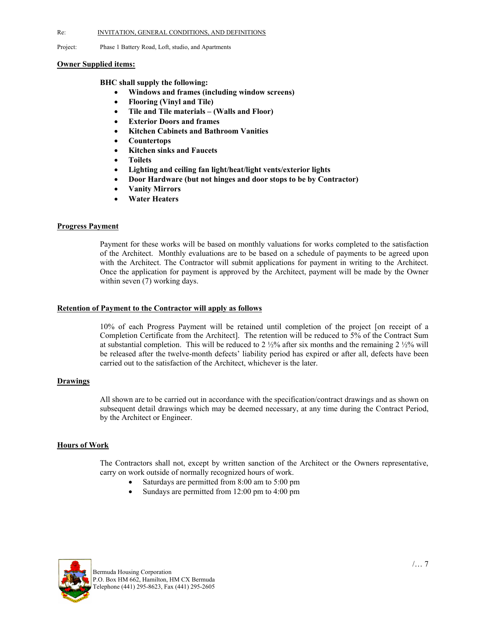Project: Phase 1 Battery Road, Loft, studio, and Apartments

### **Owner Supplied items:**

### **BHC shall supply the following:**

- **Windows and frames (including window screens)**
- **Flooring (Vinyl and Tile)**
- **Tile and Tile materials (Walls and Floor)**
- **Exterior Doors and frames**
- **Kitchen Cabinets and Bathroom Vanities**
- **Countertops**
- **Kitchen sinks and Faucets**
- **Toilets**
- **Lighting and ceiling fan light/heat/light vents/exterior lights**
- **Door Hardware (but not hinges and door stops to be by Contractor)**
- **Vanity Mirrors**
- **Water Heaters**

## **Progress Payment**

 Payment for these works will be based on monthly valuations for works completed to the satisfaction of the Architect. Monthly evaluations are to be based on a schedule of payments to be agreed upon with the Architect. The Contractor will submit applications for payment in writing to the Architect. Once the application for payment is approved by the Architect, payment will be made by the Owner within seven  $(7)$  working days.

### **Retention of Payment to the Contractor will apply as follows**

 10% of each Progress Payment will be retained until completion of the project [on receipt of a Completion Certificate from the Architect]. The retention will be reduced to 5% of the Contract Sum at substantial completion. This will be reduced to 2 ½% after six months and the remaining 2 ½% will be released after the twelve-month defects' liability period has expired or after all, defects have been carried out to the satisfaction of the Architect, whichever is the later.

### **Drawings**

 All shown are to be carried out in accordance with the specification/contract drawings and as shown on subsequent detail drawings which may be deemed necessary, at any time during the Contract Period, by the Architect or Engineer.

## **Hours of Work**

The Contractors shall not, except by written sanction of the Architect or the Owners representative, carry on work outside of normally recognized hours of work.

- Saturdays are permitted from 8:00 am to 5:00 pm
- Sundays are permitted from 12:00 pm to 4:00 pm

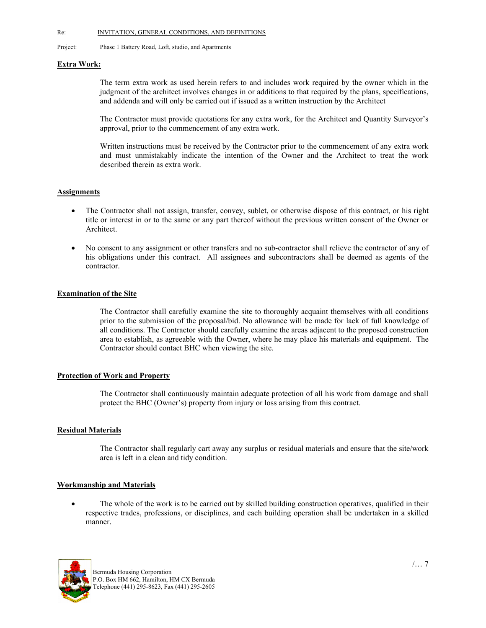Project: Phase 1 Battery Road, Loft, studio, and Apartments

## **Extra Work:**

The term extra work as used herein refers to and includes work required by the owner which in the judgment of the architect involves changes in or additions to that required by the plans, specifications, and addenda and will only be carried out if issued as a written instruction by the Architect

The Contractor must provide quotations for any extra work, for the Architect and Quantity Surveyor's approval, prior to the commencement of any extra work.

Written instructions must be received by the Contractor prior to the commencement of any extra work and must unmistakably indicate the intention of the Owner and the Architect to treat the work described therein as extra work.

## **Assignments**

- The Contractor shall not assign, transfer, convey, sublet, or otherwise dispose of this contract, or his right title or interest in or to the same or any part thereof without the previous written consent of the Owner or Architect.
- No consent to any assignment or other transfers and no sub-contractor shall relieve the contractor of any of his obligations under this contract. All assignees and subcontractors shall be deemed as agents of the contractor.

# **Examination of the Site**

 The Contractor shall carefully examine the site to thoroughly acquaint themselves with all conditions prior to the submission of the proposal/bid. No allowance will be made for lack of full knowledge of all conditions. The Contractor should carefully examine the areas adjacent to the proposed construction area to establish, as agreeable with the Owner, where he may place his materials and equipment. The Contractor should contact BHC when viewing the site.

## **Protection of Work and Property**

 The Contractor shall continuously maintain adequate protection of all his work from damage and shall protect the BHC (Owner's) property from injury or loss arising from this contract.

## **Residual Materials**

The Contractor shall regularly cart away any surplus or residual materials and ensure that the site/work area is left in a clean and tidy condition.

## **Workmanship and Materials**

• The whole of the work is to be carried out by skilled building construction operatives, qualified in their respective trades, professions, or disciplines, and each building operation shall be undertaken in a skilled manner.

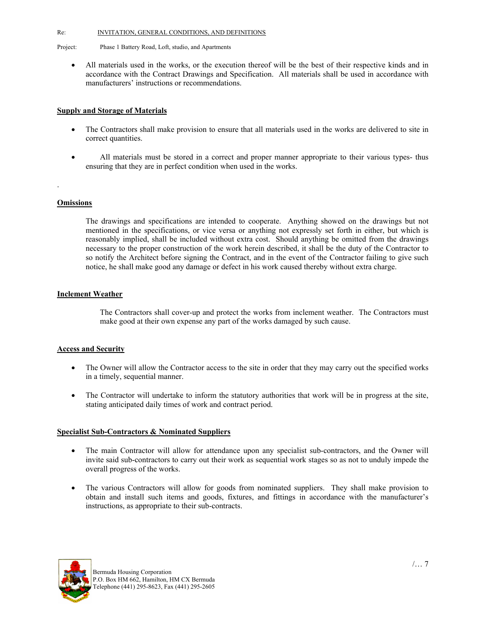Project: Phase 1 Battery Road, Loft, studio, and Apartments

 All materials used in the works, or the execution thereof will be the best of their respective kinds and in accordance with the Contract Drawings and Specification. All materials shall be used in accordance with manufacturers' instructions or recommendations.

## **Supply and Storage of Materials**

- The Contractors shall make provision to ensure that all materials used in the works are delivered to site in correct quantities.
- All materials must be stored in a correct and proper manner appropriate to their various types- thus ensuring that they are in perfect condition when used in the works.

### **Omissions**

.

The drawings and specifications are intended to cooperate. Anything showed on the drawings but not mentioned in the specifications, or vice versa or anything not expressly set forth in either, but which is reasonably implied, shall be included without extra cost. Should anything be omitted from the drawings necessary to the proper construction of the work herein described, it shall be the duty of the Contractor to so notify the Architect before signing the Contract, and in the event of the Contractor failing to give such notice, he shall make good any damage or defect in his work caused thereby without extra charge.

## **Inclement Weather**

The Contractors shall cover-up and protect the works from inclement weather. The Contractors must make good at their own expense any part of the works damaged by such cause.

## **Access and Security**

- The Owner will allow the Contractor access to the site in order that they may carry out the specified works in a timely, sequential manner.
- The Contractor will undertake to inform the statutory authorities that work will be in progress at the site, stating anticipated daily times of work and contract period.

## **Specialist Sub-Contractors & Nominated Suppliers**

- The main Contractor will allow for attendance upon any specialist sub-contractors, and the Owner will invite said sub-contractors to carry out their work as sequential work stages so as not to unduly impede the overall progress of the works.
- The various Contractors will allow for goods from nominated suppliers. They shall make provision to obtain and install such items and goods, fixtures, and fittings in accordance with the manufacturer's instructions, as appropriate to their sub-contracts.

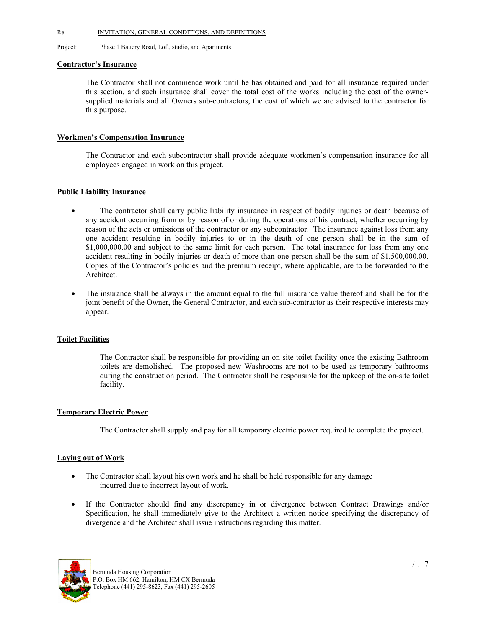Project: Phase 1 Battery Road, Loft, studio, and Apartments

### **Contractor's Insurance**

The Contractor shall not commence work until he has obtained and paid for all insurance required under this section, and such insurance shall cover the total cost of the works including the cost of the ownersupplied materials and all Owners sub-contractors, the cost of which we are advised to the contractor for this purpose.

## **Workmen's Compensation Insurance**

The Contractor and each subcontractor shall provide adequate workmen's compensation insurance for all employees engaged in work on this project.

# **Public Liability Insurance**

- The contractor shall carry public liability insurance in respect of bodily injuries or death because of any accident occurring from or by reason of or during the operations of his contract, whether occurring by reason of the acts or omissions of the contractor or any subcontractor. The insurance against loss from any one accident resulting in bodily injuries to or in the death of one person shall be in the sum of \$1,000,000.00 and subject to the same limit for each person. The total insurance for loss from any one accident resulting in bodily injuries or death of more than one person shall be the sum of \$1,500,000.00. Copies of the Contractor's policies and the premium receipt, where applicable, are to be forwarded to the Architect.
- The insurance shall be always in the amount equal to the full insurance value thereof and shall be for the joint benefit of the Owner, the General Contractor, and each sub-contractor as their respective interests may appear.

## **Toilet Facilities**

 The Contractor shall be responsible for providing an on-site toilet facility once the existing Bathroom toilets are demolished. The proposed new Washrooms are not to be used as temporary bathrooms during the construction period. The Contractor shall be responsible for the upkeep of the on-site toilet facility.

## **Temporary Electric Power**

The Contractor shall supply and pay for all temporary electric power required to complete the project.

## **Laying out of Work**

- The Contractor shall layout his own work and he shall be held responsible for any damage incurred due to incorrect layout of work.
- If the Contractor should find any discrepancy in or divergence between Contract Drawings and/or Specification, he shall immediately give to the Architect a written notice specifying the discrepancy of divergence and the Architect shall issue instructions regarding this matter.